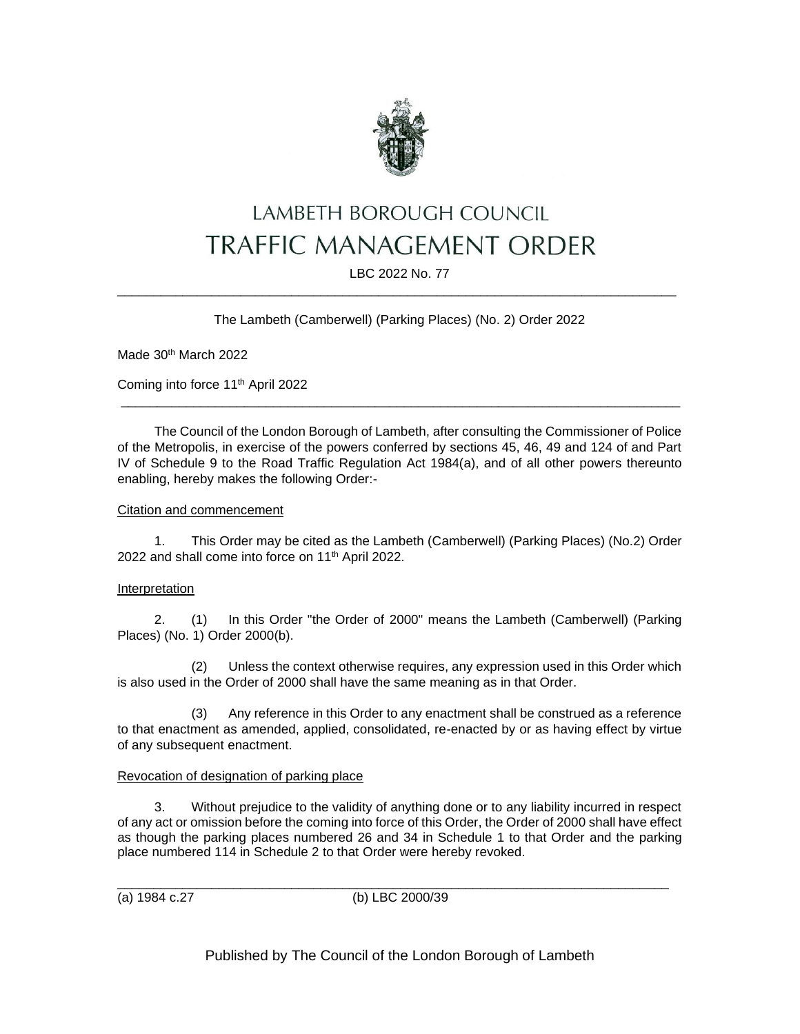

# LAMBETH BOROUGH COUNCIL **TRAFFIC MANAGEMENT ORDER**

LBC 2022 No. 77 \_\_\_\_\_\_\_\_\_\_\_\_\_\_\_\_\_\_\_\_\_\_\_\_\_\_\_\_\_\_\_\_\_\_\_\_\_\_\_\_\_\_\_\_\_\_\_\_\_\_\_\_\_\_\_\_\_\_\_\_\_\_\_\_\_\_\_\_\_\_\_\_\_\_\_\_\_

# The Lambeth (Camberwell) (Parking Places) (No. 2) Order 2022

Made 30<sup>th</sup> March 2022

Coming into force 11th April 2022

The Council of the London Borough of Lambeth, after consulting the Commissioner of Police of the Metropolis, in exercise of the powers conferred by sections 45, 46, 49 and 124 of and Part IV of Schedule 9 to the Road Traffic Regulation Act 1984(a), and of all other powers thereunto enabling, hereby makes the following Order:-

\_\_\_\_\_\_\_\_\_\_\_\_\_\_\_\_\_\_\_\_\_\_\_\_\_\_\_\_\_\_\_\_\_\_\_\_\_\_\_\_\_\_\_\_\_\_\_\_\_\_\_\_\_\_\_\_\_\_\_\_\_\_\_\_\_\_\_\_\_\_\_\_\_\_\_\_\_

# Citation and commencement

1. This Order may be cited as the Lambeth (Camberwell) (Parking Places) (No.2) Order 2022 and shall come into force on 11<sup>th</sup> April 2022.

# Interpretation

2. (1) In this Order "the Order of 2000" means the Lambeth (Camberwell) (Parking Places) (No. 1) Order 2000(b).

(2) Unless the context otherwise requires, any expression used in this Order which is also used in the Order of 2000 shall have the same meaning as in that Order.

(3) Any reference in this Order to any enactment shall be construed as a reference to that enactment as amended, applied, consolidated, re-enacted by or as having effect by virtue of any subsequent enactment.

# Revocation of designation of parking place

3. Without prejudice to the validity of anything done or to any liability incurred in respect of any act or omission before the coming into force of this Order, the Order of 2000 shall have effect as though the parking places numbered 26 and 34 in Schedule 1 to that Order and the parking place numbered 114 in Schedule 2 to that Order were hereby revoked.

\_\_\_\_\_\_\_\_\_\_\_\_\_\_\_\_\_\_\_\_\_\_\_\_\_\_\_\_\_\_\_\_\_\_\_\_\_\_\_\_\_\_\_\_\_\_\_\_\_\_\_\_\_\_\_\_\_\_\_\_\_\_\_\_\_\_\_\_\_\_\_\_\_\_\_\_ (a) 1984 c.27 (b) LBC 2000/39

Published by The Council of the London Borough of Lambeth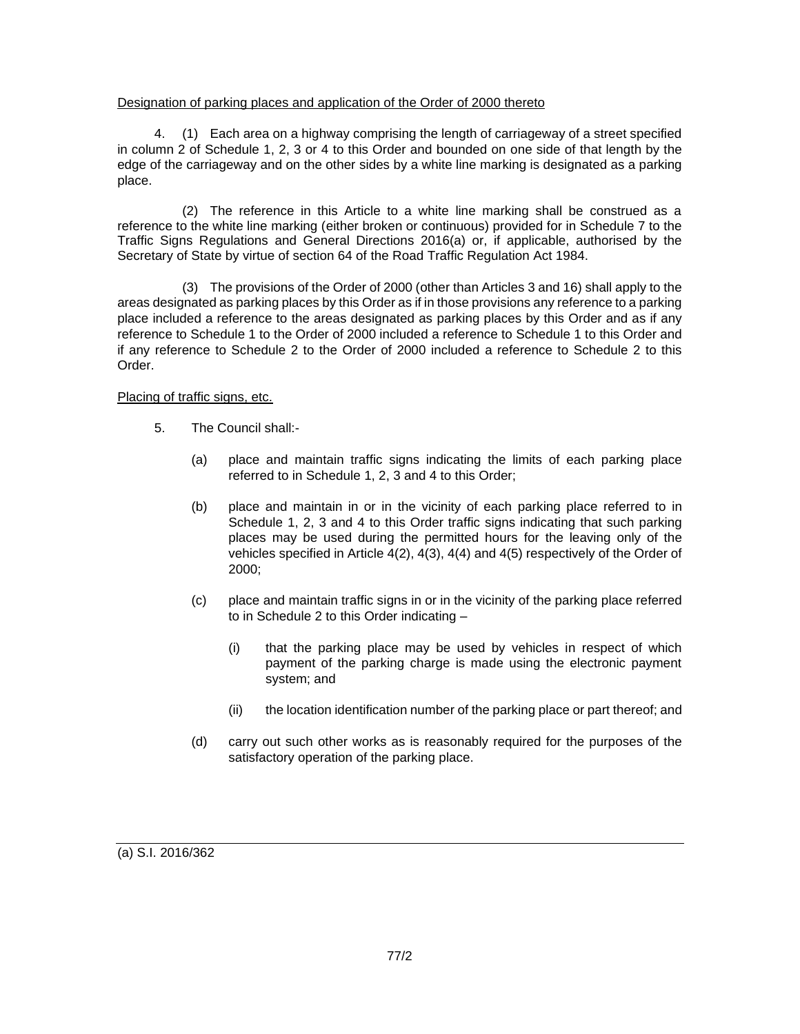# Designation of parking places and application of the Order of 2000 thereto

4. (1) Each area on a highway comprising the length of carriageway of a street specified in column 2 of Schedule 1, 2, 3 or 4 to this Order and bounded on one side of that length by the edge of the carriageway and on the other sides by a white line marking is designated as a parking place.

(2) The reference in this Article to a white line marking shall be construed as a reference to the white line marking (either broken or continuous) provided for in Schedule 7 to the Traffic Signs Regulations and General Directions 2016(a) or, if applicable, authorised by the Secretary of State by virtue of section 64 of the Road Traffic Regulation Act 1984.

(3) The provisions of the Order of 2000 (other than Articles 3 and 16) shall apply to the areas designated as parking places by this Order as if in those provisions any reference to a parking place included a reference to the areas designated as parking places by this Order and as if any reference to Schedule 1 to the Order of 2000 included a reference to Schedule 1 to this Order and if any reference to Schedule 2 to the Order of 2000 included a reference to Schedule 2 to this Order.

# Placing of traffic signs, etc.

- 5. The Council shall:-
	- (a) place and maintain traffic signs indicating the limits of each parking place referred to in Schedule 1, 2, 3 and 4 to this Order;
	- (b) place and maintain in or in the vicinity of each parking place referred to in Schedule 1, 2, 3 and 4 to this Order traffic signs indicating that such parking places may be used during the permitted hours for the leaving only of the vehicles specified in Article 4(2), 4(3), 4(4) and 4(5) respectively of the Order of 2000;
	- (c) place and maintain traffic signs in or in the vicinity of the parking place referred to in Schedule 2 to this Order indicating –
		- (i) that the parking place may be used by vehicles in respect of which payment of the parking charge is made using the electronic payment system; and
		- (ii) the location identification number of the parking place or part thereof; and
	- (d) carry out such other works as is reasonably required for the purposes of the satisfactory operation of the parking place.

(a) S.I. 2016/362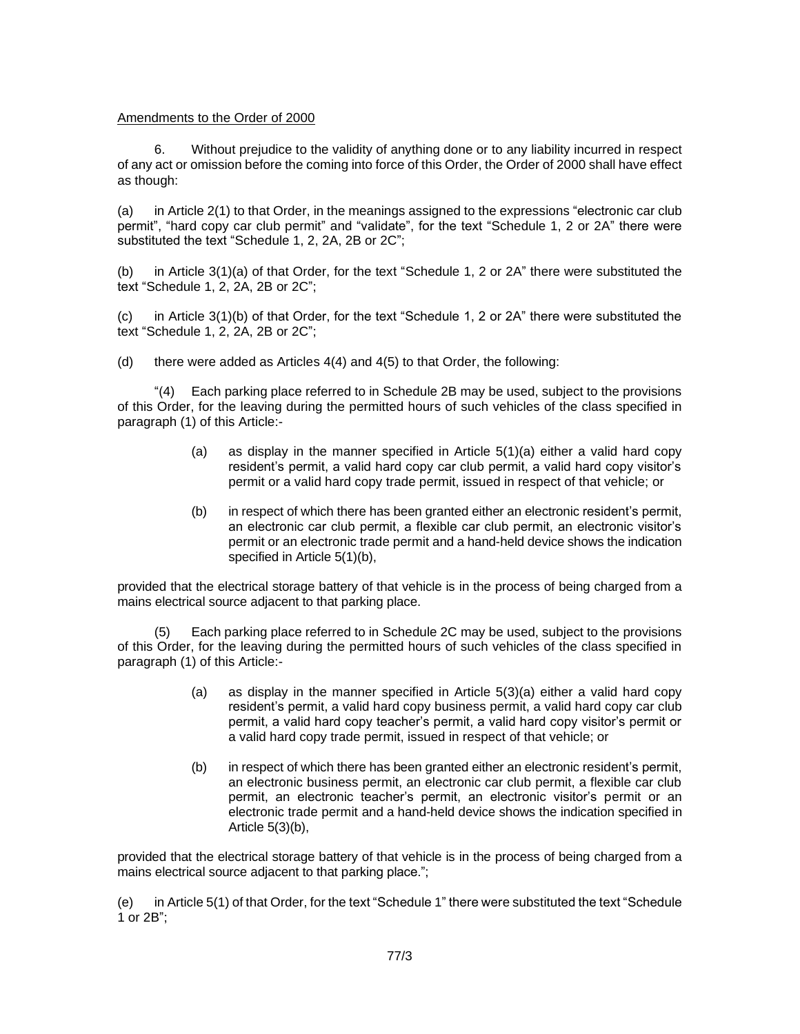## Amendments to the Order of 2000

6. Without prejudice to the validity of anything done or to any liability incurred in respect of any act or omission before the coming into force of this Order, the Order of 2000 shall have effect as though:

(a) in Article 2(1) to that Order, in the meanings assigned to the expressions "electronic car club permit", "hard copy car club permit" and "validate", for the text "Schedule 1, 2 or 2A" there were substituted the text "Schedule 1, 2, 2A, 2B or 2C";

(b) in Article 3(1)(a) of that Order, for the text "Schedule 1, 2 or 2A" there were substituted the text "Schedule 1, 2, 2A, 2B or 2C";

(c) in Article 3(1)(b) of that Order, for the text "Schedule 1, 2 or 2A" there were substituted the text "Schedule 1, 2, 2A, 2B or 2C";

(d) there were added as Articles 4(4) and 4(5) to that Order, the following:

"(4) Each parking place referred to in Schedule 2B may be used, subject to the provisions of this Order, for the leaving during the permitted hours of such vehicles of the class specified in paragraph (1) of this Article:-

- (a) as display in the manner specified in Article  $5(1)(a)$  either a valid hard copy resident's permit, a valid hard copy car club permit, a valid hard copy visitor's permit or a valid hard copy trade permit, issued in respect of that vehicle; or
- (b) in respect of which there has been granted either an electronic resident's permit, an electronic car club permit, a flexible car club permit, an electronic visitor's permit or an electronic trade permit and a hand-held device shows the indication specified in Article 5(1)(b),

provided that the electrical storage battery of that vehicle is in the process of being charged from a mains electrical source adjacent to that parking place.

(5) Each parking place referred to in Schedule 2C may be used, subject to the provisions of this Order, for the leaving during the permitted hours of such vehicles of the class specified in paragraph (1) of this Article:-

- (a) as display in the manner specified in Article 5(3)(a) either a valid hard copy resident's permit, a valid hard copy business permit, a valid hard copy car club permit, a valid hard copy teacher's permit, a valid hard copy visitor's permit or a valid hard copy trade permit, issued in respect of that vehicle; or
- (b) in respect of which there has been granted either an electronic resident's permit, an electronic business permit, an electronic car club permit, a flexible car club permit, an electronic teacher's permit, an electronic visitor's permit or an electronic trade permit and a hand-held device shows the indication specified in Article 5(3)(b),

provided that the electrical storage battery of that vehicle is in the process of being charged from a mains electrical source adjacent to that parking place.";

(e) in Article 5(1) of that Order, for the text "Schedule 1" there were substituted the text "Schedule 1 or 2B";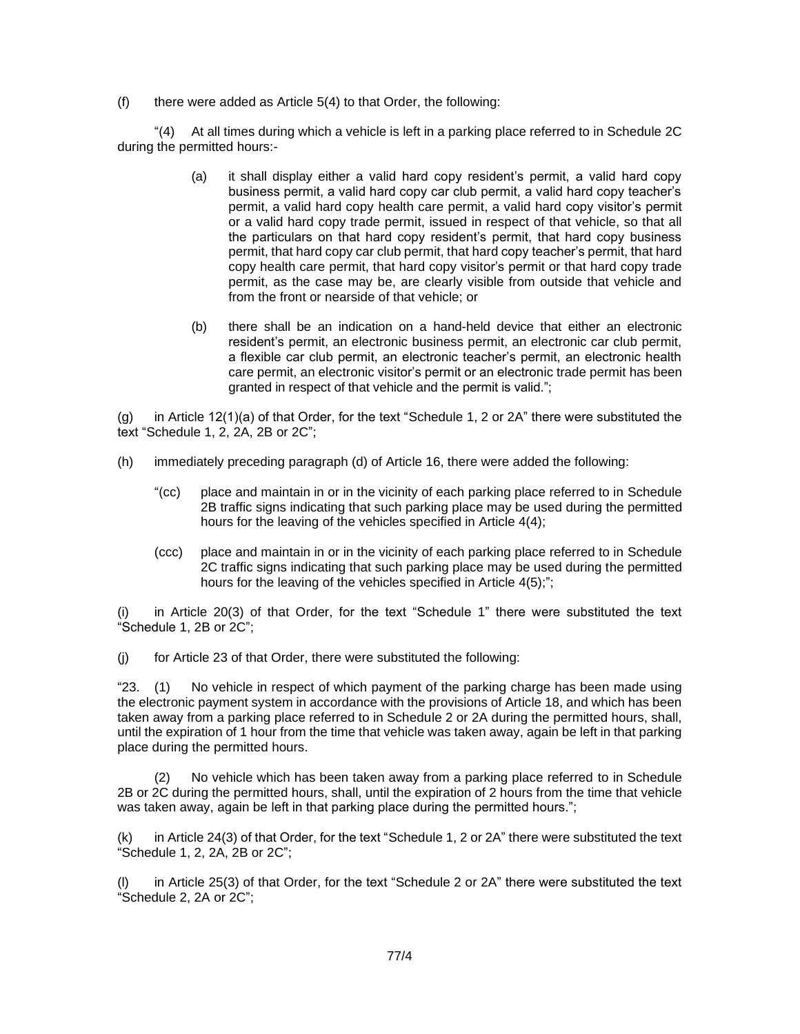$(f)$  there were added as Article 5(4) to that Order, the following:

"(4) At all times during which a vehicle is left in a parking place referred to in Schedule 2C during the permitted hours:-

- (a) it shall display either a valid hard copy resident's permit, a valid hard copy business permit, a valid hard copy car club permit, a valid hard copy teacher's permit, a valid hard copy health care permit, a valid hard copy visitor's permit or a valid hard copy trade permit, issued in respect of that vehicle, so that all the particulars on that hard copy resident's permit, that hard copy business permit, that hard copy car club permit, that hard copy teacher's permit, that hard copy health care permit, that hard copy visitor's permit or that hard copy trade permit, as the case may be, are clearly visible from outside that vehicle and from the front or nearside of that vehicle; or
- (b) there shall be an indication on a hand-held device that either an electronic resident's permit, an electronic business permit, an electronic car club permit, a flexible car club permit, an electronic teacher's permit, an electronic health care permit, an electronic visitor's permit or an electronic trade permit has been granted in respect of that vehicle and the permit is valid.";

(g) in Article 12(1)(a) of that Order, for the text "Schedule 1, 2 or 2A" there were substituted the text "Schedule 1, 2, 2A, 2B or 2C";

- (h) immediately preceding paragraph (d) of Article 16, there were added the following:
	- "(cc) place and maintain in or in the vicinity of each parking place referred to in Schedule 2B traffic signs indicating that such parking place may be used during the permitted hours for the leaving of the vehicles specified in Article 4(4);
	- (ccc) place and maintain in or in the vicinity of each parking place referred to in Schedule 2C traffic signs indicating that such parking place may be used during the permitted hours for the leaving of the vehicles specified in Article 4(5);";

in Article 20(3) of that Order, for the text "Schedule 1" there were substituted the text "Schedule 1, 2B or 2C";

(j) for Article 23 of that Order, there were substituted the following:

"23. (1) No vehicle in respect of which payment of the parking charge has been made using the electronic payment system in accordance with the provisions of Article 18, and which has been taken away from a parking place referred to in Schedule 2 or 2A during the permitted hours, shall, until the expiration of 1 hour from the time that vehicle was taken away, again be left in that parking place during the permitted hours.

(2) No vehicle which has been taken away from a parking place referred to in Schedule 2B or 2C during the permitted hours, shall, until the expiration of 2 hours from the time that vehicle was taken away, again be left in that parking place during the permitted hours.";

(k) in Article 24(3) of that Order, for the text "Schedule 1, 2 or 2A" there were substituted the text "Schedule 1, 2, 2A, 2B or 2C";

(l) in Article 25(3) of that Order, for the text "Schedule 2 or 2A" there were substituted the text "Schedule 2, 2A or 2C";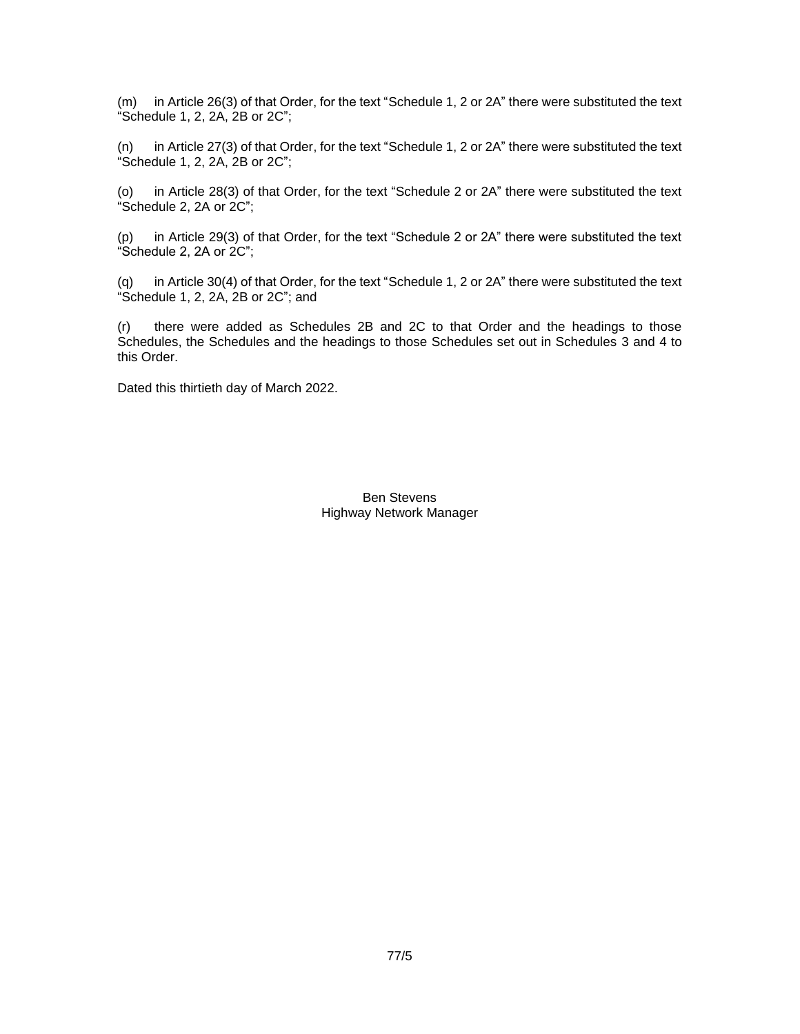(m) in Article 26(3) of that Order, for the text "Schedule 1, 2 or 2A" there were substituted the text "Schedule 1, 2, 2A, 2B or 2C";

(n) in Article 27(3) of that Order, for the text "Schedule 1, 2 or 2A" there were substituted the text "Schedule 1, 2, 2A, 2B or 2C";

(o) in Article 28(3) of that Order, for the text "Schedule 2 or 2A" there were substituted the text "Schedule 2, 2A or 2C";

(p) in Article 29(3) of that Order, for the text "Schedule 2 or 2A" there were substituted the text "Schedule 2, 2A or 2C";

(q) in Article 30(4) of that Order, for the text "Schedule 1, 2 or 2A" there were substituted the text "Schedule 1, 2, 2A, 2B or 2C"; and

(r) there were added as Schedules 2B and 2C to that Order and the headings to those Schedules, the Schedules and the headings to those Schedules set out in Schedules 3 and 4 to this Order.

Dated this thirtieth day of March 2022.

Ben Stevens Highway Network Manager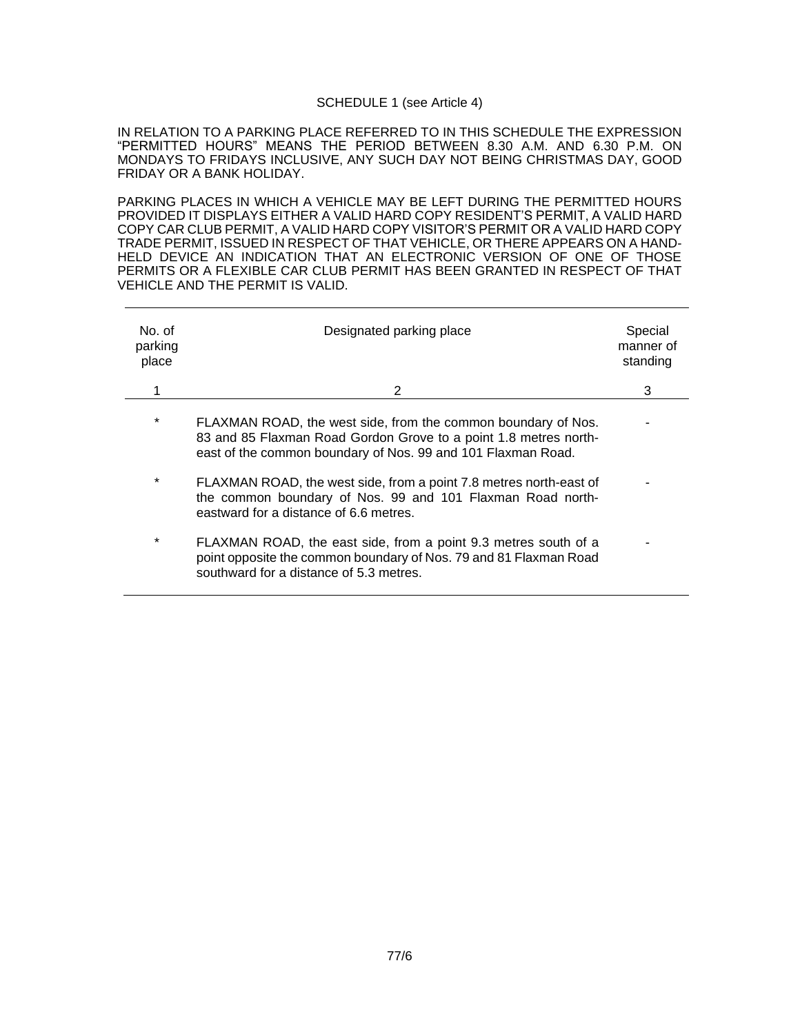#### SCHEDULE 1 (see Article 4)

IN RELATION TO A PARKING PLACE REFERRED TO IN THIS SCHEDULE THE EXPRESSION "PERMITTED HOURS" MEANS THE PERIOD BETWEEN 8.30 A.M. AND 6.30 P.M. ON MONDAYS TO FRIDAYS INCLUSIVE, ANY SUCH DAY NOT BEING CHRISTMAS DAY, GOOD FRIDAY OR A BANK HOLIDAY.

PARKING PLACES IN WHICH A VEHICLE MAY BE LEFT DURING THE PERMITTED HOURS PROVIDED IT DISPLAYS EITHER A VALID HARD COPY RESIDENT'S PERMIT, A VALID HARD COPY CAR CLUB PERMIT, A VALID HARD COPY VISITOR'S PERMIT OR A VALID HARD COPY TRADE PERMIT, ISSUED IN RESPECT OF THAT VEHICLE, OR THERE APPEARS ON A HAND-HELD DEVICE AN INDICATION THAT AN ELECTRONIC VERSION OF ONE OF THOSE PERMITS OR A FLEXIBLE CAR CLUB PERMIT HAS BEEN GRANTED IN RESPECT OF THAT VEHICLE AND THE PERMIT IS VALID.

| No. of<br>parking<br>place | Designated parking place                                                                                                                                                                          | Special<br>manner of<br>standing |
|----------------------------|---------------------------------------------------------------------------------------------------------------------------------------------------------------------------------------------------|----------------------------------|
| 1                          | 2                                                                                                                                                                                                 | 3                                |
| $\ast$                     | FLAXMAN ROAD, the west side, from the common boundary of Nos.<br>83 and 85 Flaxman Road Gordon Grove to a point 1.8 metres north-<br>east of the common boundary of Nos. 99 and 101 Flaxman Road. |                                  |
| $\ast$                     | FLAXMAN ROAD, the west side, from a point 7.8 metres north-east of<br>the common boundary of Nos. 99 and 101 Flaxman Road north-<br>eastward for a distance of 6.6 metres.                        |                                  |
| $\ast$                     | FLAXMAN ROAD, the east side, from a point 9.3 metres south of a<br>point opposite the common boundary of Nos. 79 and 81 Flaxman Road<br>southward for a distance of 5.3 metres.                   |                                  |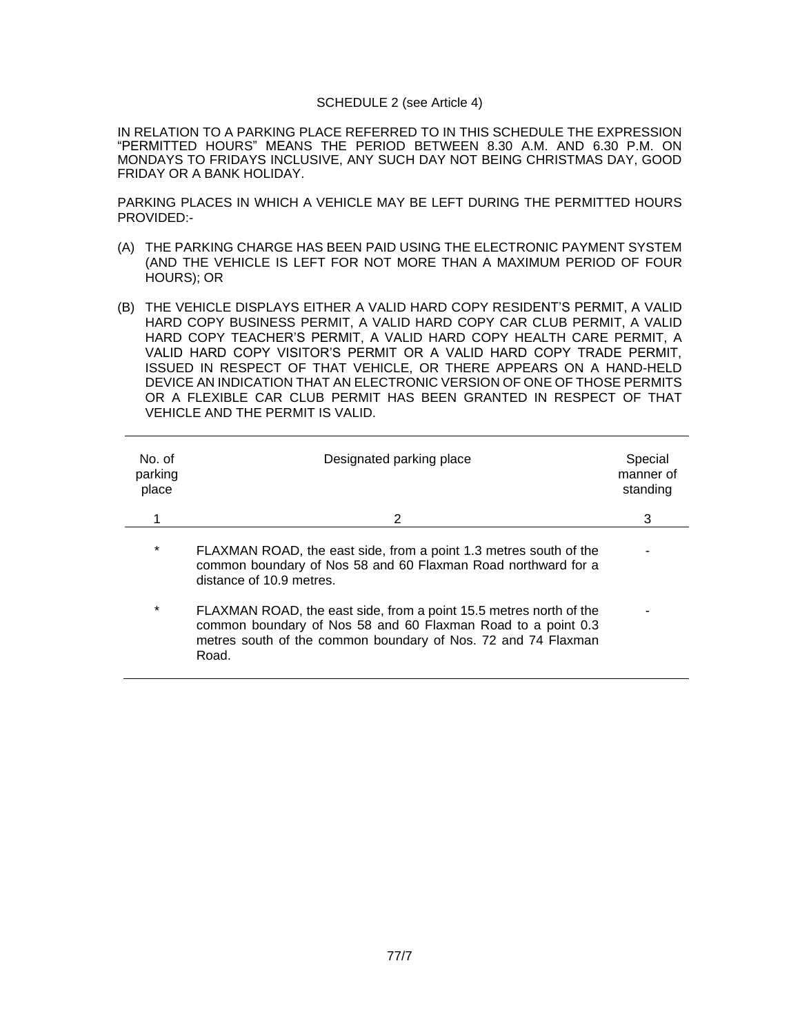#### SCHEDULE 2 (see Article 4)

IN RELATION TO A PARKING PLACE REFERRED TO IN THIS SCHEDULE THE EXPRESSION "PERMITTED HOURS" MEANS THE PERIOD BETWEEN 8.30 A.M. AND 6.30 P.M. ON MONDAYS TO FRIDAYS INCLUSIVE, ANY SUCH DAY NOT BEING CHRISTMAS DAY, GOOD FRIDAY OR A BANK HOLIDAY.

PARKING PLACES IN WHICH A VEHICLE MAY BE LEFT DURING THE PERMITTED HOURS PROVIDED:-

- (A) THE PARKING CHARGE HAS BEEN PAID USING THE ELECTRONIC PAYMENT SYSTEM (AND THE VEHICLE IS LEFT FOR NOT MORE THAN A MAXIMUM PERIOD OF FOUR HOURS); OR
- (B) THE VEHICLE DISPLAYS EITHER A VALID HARD COPY RESIDENT'S PERMIT, A VALID HARD COPY BUSINESS PERMIT, A VALID HARD COPY CAR CLUB PERMIT, A VALID HARD COPY TEACHER'S PERMIT, A VALID HARD COPY HEALTH CARE PERMIT, A VALID HARD COPY VISITOR'S PERMIT OR A VALID HARD COPY TRADE PERMIT, ISSUED IN RESPECT OF THAT VEHICLE, OR THERE APPEARS ON A HAND-HELD DEVICE AN INDICATION THAT AN ELECTRONIC VERSION OF ONE OF THOSE PERMITS OR A FLEXIBLE CAR CLUB PERMIT HAS BEEN GRANTED IN RESPECT OF THAT VEHICLE AND THE PERMIT IS VALID.

| No. of<br>parking<br>place | Designated parking place                                                                                                                                                                                     | Special<br>manner of<br>standing |
|----------------------------|--------------------------------------------------------------------------------------------------------------------------------------------------------------------------------------------------------------|----------------------------------|
|                            | 2                                                                                                                                                                                                            | 3                                |
| $\star$                    | FLAXMAN ROAD, the east side, from a point 1.3 metres south of the<br>common boundary of Nos 58 and 60 Flaxman Road northward for a<br>distance of 10.9 metres.                                               |                                  |
| $\ast$                     | FLAXMAN ROAD, the east side, from a point 15.5 metres north of the<br>common boundary of Nos 58 and 60 Flaxman Road to a point 0.3<br>metres south of the common boundary of Nos. 72 and 74 Flaxman<br>Road. |                                  |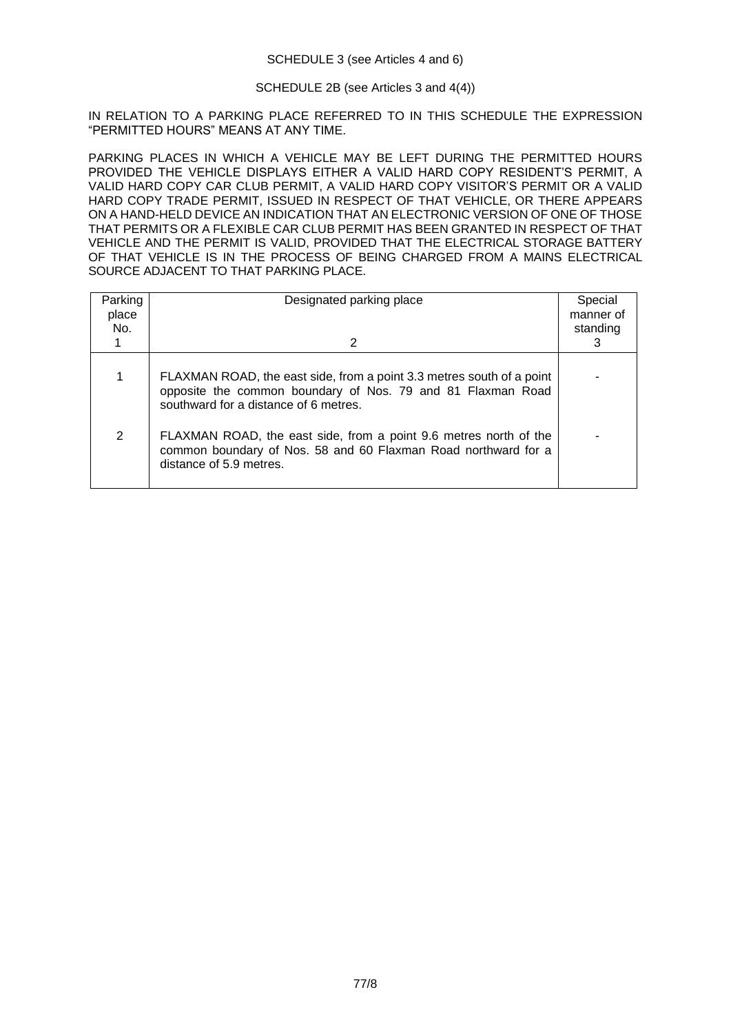# SCHEDULE 2B (see Articles 3 and 4(4))

IN RELATION TO A PARKING PLACE REFERRED TO IN THIS SCHEDULE THE EXPRESSION "PERMITTED HOURS" MEANS AT ANY TIME.

PARKING PLACES IN WHICH A VEHICLE MAY BE LEFT DURING THE PERMITTED HOURS PROVIDED THE VEHICLE DISPLAYS EITHER A VALID HARD COPY RESIDENT'S PERMIT, A VALID HARD COPY CAR CLUB PERMIT, A VALID HARD COPY VISITOR'S PERMIT OR A VALID HARD COPY TRADE PERMIT, ISSUED IN RESPECT OF THAT VEHICLE, OR THERE APPEARS ON A HAND-HELD DEVICE AN INDICATION THAT AN ELECTRONIC VERSION OF ONE OF THOSE THAT PERMITS OR A FLEXIBLE CAR CLUB PERMIT HAS BEEN GRANTED IN RESPECT OF THAT VEHICLE AND THE PERMIT IS VALID, PROVIDED THAT THE ELECTRICAL STORAGE BATTERY OF THAT VEHICLE IS IN THE PROCESS OF BEING CHARGED FROM A MAINS ELECTRICAL SOURCE ADJACENT TO THAT PARKING PLACE.

| Parking<br>place<br>No. | Designated parking place<br>2                                                                                                                                                 | Special<br>manner of<br>standing<br>3 |
|-------------------------|-------------------------------------------------------------------------------------------------------------------------------------------------------------------------------|---------------------------------------|
|                         | FLAXMAN ROAD, the east side, from a point 3.3 metres south of a point<br>opposite the common boundary of Nos. 79 and 81 Flaxman Road<br>southward for a distance of 6 metres. |                                       |
| 2                       | FLAXMAN ROAD, the east side, from a point 9.6 metres north of the<br>common boundary of Nos. 58 and 60 Flaxman Road northward for a<br>distance of 5.9 metres.                |                                       |